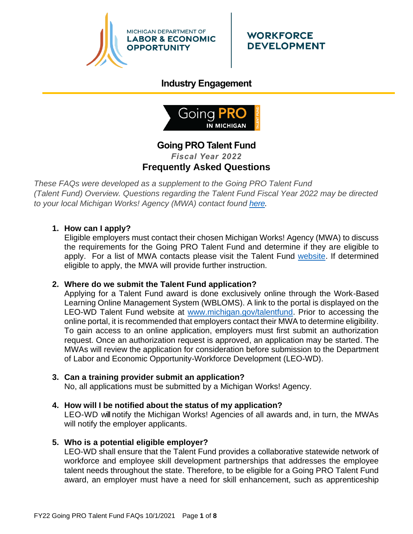

# **WORKFORCE DEVELOPMENT**

# **Industry Engagement**



# **Going PRO Talent Fund** *Fiscal Year 2022* **Frequently Asked Questions**

*These FAQs were developed as a supplement to the Going PRO Talent Fund (Talent Fund) Overview. Questions regarding the Talent Fund Fiscal Year 2022 may be directed to your local Michigan Works! Agency (MWA) contact found [here.](http://www.michigan.gov/documents/wda/Map_with_Key_Contacts_434690_7.pdf)*

# **1. How can I apply?**

Eligible employers must contact their chosen Michigan Works! Agency (MWA) to discuss the requirements for the Going PRO Talent Fund and determine if they are eligible to apply. For a list of MWA contacts please visit the Talent Fund [website.](http://www.michigan.gov/talentfund) If determined eligible to apply, the MWA will provide further instruction.

# **2. Where do we submit the Talent Fund application?**

Applying for a Talent Fund award is done exclusively online through the Work-Based Learning Online Management System (WBLOMS). A link to the portal is displayed on the LEO-WD Talent Fund website at [www.michigan.gov/talentfund.](http://www.michigan.gov/talentfund) Prior to accessing the online portal, it is recommended that employers contact their MWA to determine eligibility. To gain access to an online application, employers must first submit an authorization request. Once an authorization request is approved, an application may be started. The MWAs will review the application for consideration before submission to the Department of Labor and Economic Opportunity-Workforce Development (LEO-WD).

# **3. Can a training provider submit an application?**

No, all applications must be submitted by a Michigan Works! Agency.

# **4. How will I be notified about the status of my application?**

LEO-WD will notify the Michigan Works! Agencies of all awards and, in turn, the MWAs will notify the employer applicants.

# **5. Who is a potential eligible employer?**

LEO-WD shall ensure that the Talent Fund provides a collaborative statewide network of workforce and employee skill development partnerships that addresses the employee talent needs throughout the state. Therefore, to be eligible for a Going PRO Talent Fund award, an employer must have a need for skill enhancement, such as apprenticeship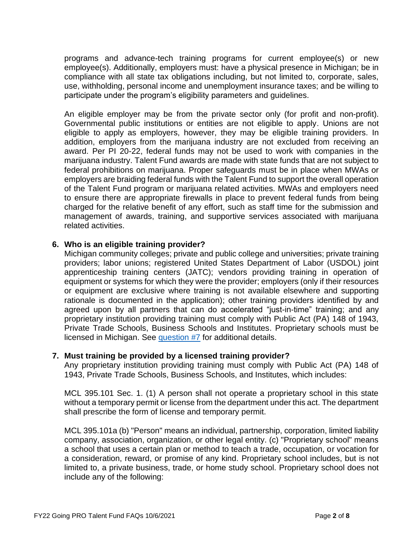programs and advance-tech training programs for current employee(s) or new employee(s). Additionally, employers must: have a physical presence in Michigan; be in compliance with all state tax obligations including, but not limited to, corporate, sales, use, withholding, personal income and unemployment insurance taxes; and be willing to participate under the program's eligibility parameters and guidelines.

An eligible employer may be from the private sector only (for profit and non-profit). Governmental public institutions or entities are not eligible to apply. Unions are not eligible to apply as employers, however, they may be eligible training providers. In addition, employers from the marijuana industry are not excluded from receiving an award. Per PI 20-22, federal funds may not be used to work with companies in the marijuana industry. Talent Fund awards are made with state funds that are not subject to federal prohibitions on marijuana. Proper safeguards must be in place when MWAs or employers are braiding federal funds with the Talent Fund to support the overall operation of the Talent Fund program or marijuana related activities. MWAs and employers need to ensure there are appropriate firewalls in place to prevent federal funds from being charged for the relative benefit of any effort, such as staff time for the submission and management of awards, training, and supportive services associated with marijuana related activities.

## **6. Who is an eligible training provider?**

Michigan community colleges; private and public college and universities; private training providers; labor unions; registered United States Department of Labor (USDOL) joint apprenticeship training centers (JATC); vendors providing training in operation of equipment or systems for which they were the provider; employers (only if their resources or equipment are exclusive where training is not available elsewhere and supporting rationale is documented in the application); other training providers identified by and agreed upon by all partners that can do accelerated "just-in-time" training; and any proprietary institution providing training must comply with Public Act (PA) 148 of 1943, Private Trade Schools, Business Schools and Institutes. Proprietary schools must be licensed in Michigan. See [question #7](#page-1-0) for additional details.

#### **7. Must training be provided by a licensed training provider?**

<span id="page-1-0"></span>Any proprietary institution providing training must comply with Public Act (PA) 148 of 1943, Private Trade Schools, Business Schools, and Institutes, which includes:

MCL 395.101 Sec. 1. (1) A person shall not operate a proprietary school in this state without a temporary permit or license from the department under this act. The department shall prescribe the form of license and temporary permit.

MCL 395.101a (b) "Person" means an individual, partnership, corporation, limited liability company, association, organization, or other legal entity. (c) "Proprietary school" means a school that uses a certain plan or method to teach a trade, occupation, or vocation for a consideration, reward, or promise of any kind. Proprietary school includes, but is not limited to, a private business, trade, or home study school. Proprietary school does not include any of the following: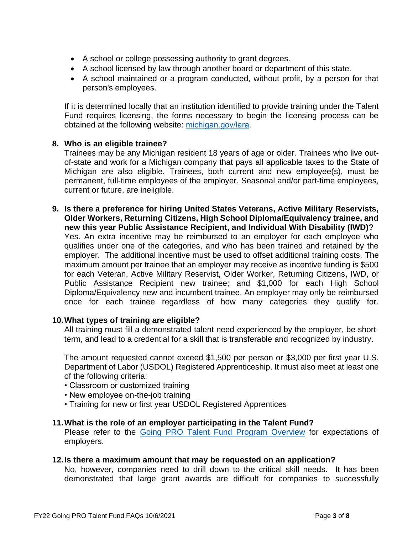- A school or college possessing authority to grant degrees.
- A school licensed by law through another board or department of this state.
- A school maintained or a program conducted, without profit, by a person for that person's employees.

If it is determined locally that an institution identified to provide training under the Talent Fund requires licensing, the forms necessary to begin the licensing process can be obtained at the following website: [michigan.gov/lara.](http://www.michigan.gov/lara/0,4601,7-154-35299_61343_35414_60647_2739---,00.html)

# **8. Who is an eligible trainee?**

Trainees may be any Michigan resident 18 years of age or older. Trainees who live outof-state and work for a Michigan company that pays all applicable taxes to the State of Michigan are also eligible. Trainees, both current and new employee(s), must be permanent, full-time employees of the employer. Seasonal and/or part-time employees, current or future, are ineligible.

**9. Is there a preference for hiring United States Veterans, Active Military Reservists, Older Workers, Returning Citizens, High School Diploma/Equivalency trainee, and new this year Public Assistance Recipient, and Individual With Disability (IWD)?**

Yes. An extra incentive may be reimbursed to an employer for each employee who qualifies under one of the categories, and who has been trained and retained by the employer. The additional incentive must be used to offset additional training costs. The maximum amount per trainee that an employer may receive as incentive funding is \$500 for each Veteran, Active Military Reservist, Older Worker, Returning Citizens, IWD, or Public Assistance Recipient new trainee; and \$1,000 for each High School Diploma/Equivalency new and incumbent trainee. An employer may only be reimbursed once for each trainee regardless of how many categories they qualify for.

# **10.What types of training are eligible?**

All training must fill a demonstrated talent need experienced by the employer, be shortterm, and lead to a credential for a skill that is transferable and recognized by industry.

The amount requested cannot exceed \$1,500 per person or \$3,000 per first year U.S. Department of Labor (USDOL) Registered Apprenticeship. It must also meet at least one of the following criteria:

- Classroom or customized training
- New employee on-the-job training
- Training for new or first year USDOL Registered Apprentices

# **11.What is the role of an employer participating in the Talent Fund?**

Please refer to the [Going PRO Talent Fund](https://www.michigan.gov/documents/leo/WD_Program_Overviews_2020_v2_Going_PRO_Talent_Fund_688153_7.pdf) Program Overview for expectations of employers.

# **12.Is there a maximum amount that may be requested on an application?**

No, however, companies need to drill down to the critical skill needs. It has been demonstrated that large grant awards are difficult for companies to successfully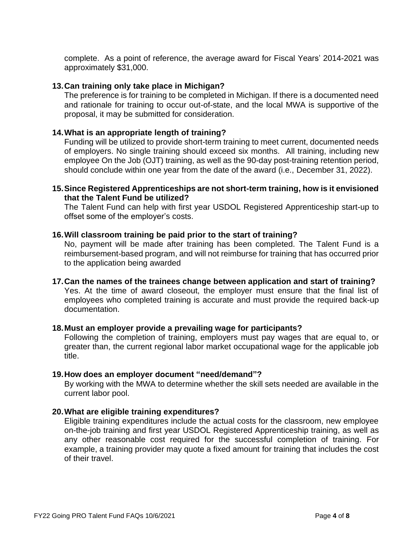complete. As a point of reference, the average award for Fiscal Years' 2014-2021 was approximately \$31,000.

## **13.Can training only take place in Michigan?**

The preference is for training to be completed in Michigan. If there is a documented need and rationale for training to occur out-of-state, and the local MWA is supportive of the proposal, it may be submitted for consideration.

## **14.What is an appropriate length of training?**

Funding will be utilized to provide short-term training to meet current, documented needs of employers. No single training should exceed six months. All training, including new employee On the Job (OJT) training, as well as the 90-day post-training retention period, should conclude within one year from the date of the award (i.e., December 31, 2022).

#### **15.Since Registered Apprenticeships are not short-term training, how is it envisioned that the Talent Fund be utilized?**

The Talent Fund can help with first year USDOL Registered Apprenticeship start-up to offset some of the employer's costs.

#### **16.Will classroom training be paid prior to the start of training?**

No, payment will be made after training has been completed. The Talent Fund is a reimbursement-based program, and will not reimburse for training that has occurred prior to the application being awarded

#### **17.Can the names of the trainees change between application and start of training?**

Yes. At the time of award closeout, the employer must ensure that the final list of employees who completed training is accurate and must provide the required back-up documentation.

#### **18.Must an employer provide a prevailing wage for participants?**

Following the completion of training, employers must pay wages that are equal to, or greater than, the current regional labor market occupational wage for the applicable job title.

#### **19.How does an employer document "need/demand"?**

By working with the MWA to determine whether the skill sets needed are available in the current labor pool.

## **20.What are eligible training expenditures?**

Eligible training expenditures include the actual costs for the classroom, new employee on-the-job training and first year USDOL Registered Apprenticeship training, as well as any other reasonable cost required for the successful completion of training. For example, a training provider may quote a fixed amount for training that includes the cost of their travel.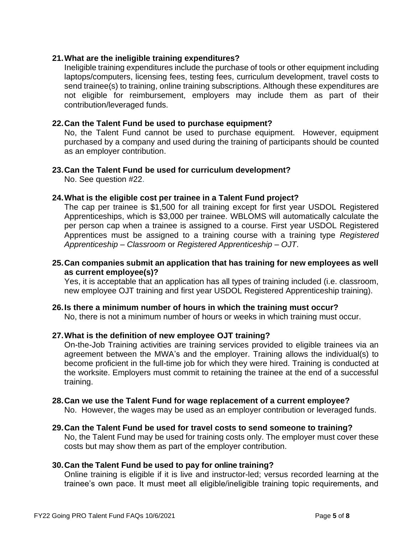# **21.What are the ineligible training expenditures?**

Ineligible training expenditures include the purchase of tools or other equipment including laptops/computers, licensing fees, testing fees, curriculum development, travel costs to send trainee(s) to training, online training subscriptions. Although these expenditures are not eligible for reimbursement, employers may include them as part of their contribution/leveraged funds.

## **22.Can the Talent Fund be used to purchase equipment?**

No, the Talent Fund cannot be used to purchase equipment. However, equipment purchased by a company and used during the training of participants should be counted as an employer contribution.

# **23.Can the Talent Fund be used for curriculum development?**

No. See question #22.

## **24.What is the eligible cost per trainee in a Talent Fund project?**

The cap per trainee is \$1,500 for all training except for first year USDOL Registered Apprenticeships, which is \$3,000 per trainee. WBLOMS will automatically calculate the per person cap when a trainee is assigned to a course. First year USDOL Registered Apprentices must be assigned to a training course with a training type *Registered Apprenticeship – Classroom* or *Registered Apprenticeship – OJT*.

## **25.Can companies submit an application that has training for new employees as well as current employee(s)?**

Yes, it is acceptable that an application has all types of training included (i.e. classroom, new employee OJT training and first year USDOL Registered Apprenticeship training).

# **26.Is there a minimum number of hours in which the training must occur?**

No, there is not a minimum number of hours or weeks in which training must occur.

#### **27.What is the definition of new employee OJT training?**

On-the-Job Training activities are training services provided to eligible trainees via an agreement between the MWA's and the employer. Training allows the individual(s) to become proficient in the full-time job for which they were hired. Training is conducted at the worksite. Employers must commit to retaining the trainee at the end of a successful training.

# **28.Can we use the Talent Fund for wage replacement of a current employee?**

No. However, the wages may be used as an employer contribution or leveraged funds.

# **29.Can the Talent Fund be used for travel costs to send someone to training?**

No, the Talent Fund may be used for training costs only. The employer must cover these costs but may show them as part of the employer contribution.

#### **30.Can the Talent Fund be used to pay for online training?**

Online training is eligible if it is live and instructor-led; versus recorded learning at the trainee's own pace. It must meet all eligible/ineligible training topic requirements, and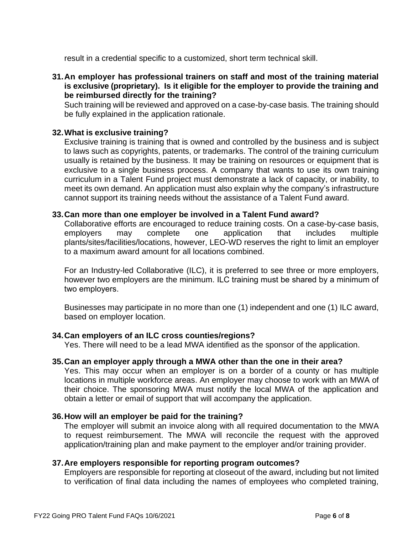result in a credential specific to a customized, short term technical skill.

**31.An employer has professional trainers on staff and most of the training material is exclusive (proprietary). Is it eligible for the employer to provide the training and be reimbursed directly for the training?**

Such training will be reviewed and approved on a case-by-case basis. The training should be fully explained in the application rationale.

# **32.What is exclusive training?**

Exclusive training is training that is owned and controlled by the business and is subject to laws such as copyrights, patents, or trademarks. The control of the training curriculum usually is retained by the business. It may be training on resources or equipment that is exclusive to a single business process. A company that wants to use its own training curriculum in a Talent Fund project must demonstrate a lack of capacity, or inability, to meet its own demand. An application must also explain why the company's infrastructure cannot support its training needs without the assistance of a Talent Fund award.

#### **33.Can more than one employer be involved in a Talent Fund award?**

Collaborative efforts are encouraged to reduce training costs. On a case-by-case basis, employers may complete one application that includes multiple plants/sites/facilities/locations, however, LEO-WD reserves the right to limit an employer to a maximum award amount for all locations combined.

For an Industry-led Collaborative (ILC), it is preferred to see three or more employers, however two employers are the minimum. ILC training must be shared by a minimum of two employers.

Businesses may participate in no more than one (1) independent and one (1) ILC award, based on employer location.

#### **34.Can employers of an ILC cross counties/regions?**

Yes. There will need to be a lead MWA identified as the sponsor of the application.

#### **35.Can an employer apply through a MWA other than the one in their area?**

Yes. This may occur when an employer is on a border of a county or has multiple locations in multiple workforce areas. An employer may choose to work with an MWA of their choice. The sponsoring MWA must notify the local MWA of the application and obtain a letter or email of support that will accompany the application.

#### **36.How will an employer be paid for the training?**

The employer will submit an invoice along with all required documentation to the MWA to request reimbursement. The MWA will reconcile the request with the approved application/training plan and make payment to the employer and/or training provider.

#### **37.Are employers responsible for reporting program outcomes?**

Employers are responsible for reporting at closeout of the award, including but not limited to verification of final data including the names of employees who completed training,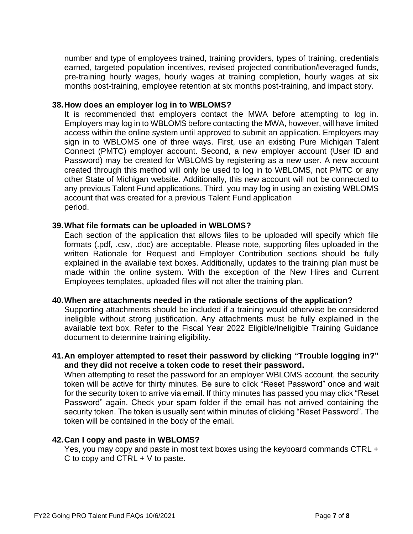number and type of employees trained, training providers, types of training, credentials earned, targeted population incentives, revised projected contribution/leveraged funds, pre-training hourly wages, hourly wages at training completion, hourly wages at six months post-training, employee retention at six months post-training, and impact story.

#### **38.How does an employer log in to WBLOMS?**

It is recommended that employers contact the MWA before attempting to log in. Employers may log in to WBLOMS before contacting the MWA, however, will have limited access within the online system until approved to submit an application. Employers may sign in to WBLOMS one of three ways. First, use an existing Pure Michigan Talent Connect (PMTC) employer account. Second, a new employer account (User ID and Password) may be created for WBLOMS by registering as a new user. A new account created through this method will only be used to log in to WBLOMS, not PMTC or any other State of Michigan website. Additionally, this new account will not be connected to any previous Talent Fund applications. Third, you may log in using an existing WBLOMS account that was created for a previous Talent Fund application period.

## **39.What file formats can be uploaded in WBLOMS?**

Each section of the application that allows files to be uploaded will specify which file formats (.pdf, .csv, .doc) are acceptable. Please note, supporting files uploaded in the written Rationale for Request and Employer Contribution sections should be fully explained in the available text boxes. Additionally, updates to the training plan must be made within the online system. With the exception of the New Hires and Current Employees templates, uploaded files will not alter the training plan.

#### **40.When are attachments needed in the rationale sections of the application?**

Supporting attachments should be included if a training would otherwise be considered ineligible without strong justification. Any attachments must be fully explained in the available text box. Refer to the Fiscal Year 2022 Eligible/Ineligible Training Guidance document to determine training eligibility.

# **41.An employer attempted to reset their password by clicking "Trouble logging in?" and they did not receive a token code to reset their password.**

When attempting to reset the password for an employer WBLOMS account, the security token will be active for thirty minutes. Be sure to click "Reset Password" once and wait for the security token to arrive via email. If thirty minutes has passed you may click "Reset Password" again. Check your spam folder if the email has not arrived containing the security token. The token is usually sent within minutes of clicking "Reset Password". The token will be contained in the body of the email.

#### **42.Can I copy and paste in WBLOMS?**

Yes, you may copy and paste in most text boxes using the keyboard commands CTRL + C to copy and CTRL  $+$  V to paste.